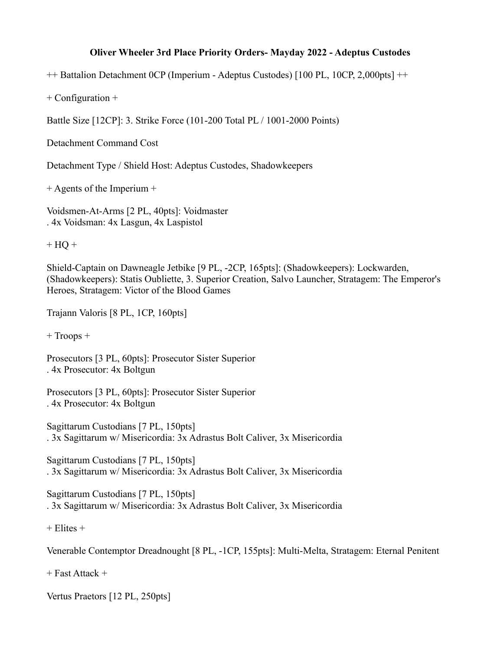## **Oliver Wheeler 3rd Place Priority Orders- Mayday 2022 - Adeptus Custodes**

++ Battalion Detachment 0CP (Imperium - Adeptus Custodes) [100 PL, 10CP, 2,000pts] ++

+ Configuration +

Battle Size [12CP]: 3. Strike Force (101-200 Total PL / 1001-2000 Points)

Detachment Command Cost

Detachment Type / Shield Host: Adeptus Custodes, Shadowkeepers

+ Agents of the Imperium +

Voidsmen-At-Arms [2 PL, 40pts]: Voidmaster . 4x Voidsman: 4x Lasgun, 4x Laspistol

 $+ HO +$ 

Shield-Captain on Dawneagle Jetbike [9 PL, -2CP, 165pts]: (Shadowkeepers): Lockwarden, (Shadowkeepers): Statis Oubliette, 3. Superior Creation, Salvo Launcher, Stratagem: The Emperor's Heroes, Stratagem: Victor of the Blood Games

Trajann Valoris [8 PL, 1CP, 160pts]

+ Troops +

Prosecutors [3 PL, 60pts]: Prosecutor Sister Superior . 4x Prosecutor: 4x Boltgun

Prosecutors [3 PL, 60pts]: Prosecutor Sister Superior . 4x Prosecutor: 4x Boltgun

Sagittarum Custodians [7 PL, 150pts] . 3x Sagittarum w/ Misericordia: 3x Adrastus Bolt Caliver, 3x Misericordia

Sagittarum Custodians [7 PL, 150pts] . 3x Sagittarum w/ Misericordia: 3x Adrastus Bolt Caliver, 3x Misericordia

Sagittarum Custodians [7 PL, 150pts] . 3x Sagittarum w/ Misericordia: 3x Adrastus Bolt Caliver, 3x Misericordia

 $+$  Elites  $+$ 

Venerable Contemptor Dreadnought [8 PL, -1CP, 155pts]: Multi-Melta, Stratagem: Eternal Penitent

+ Fast Attack +

Vertus Praetors [12 PL, 250pts]